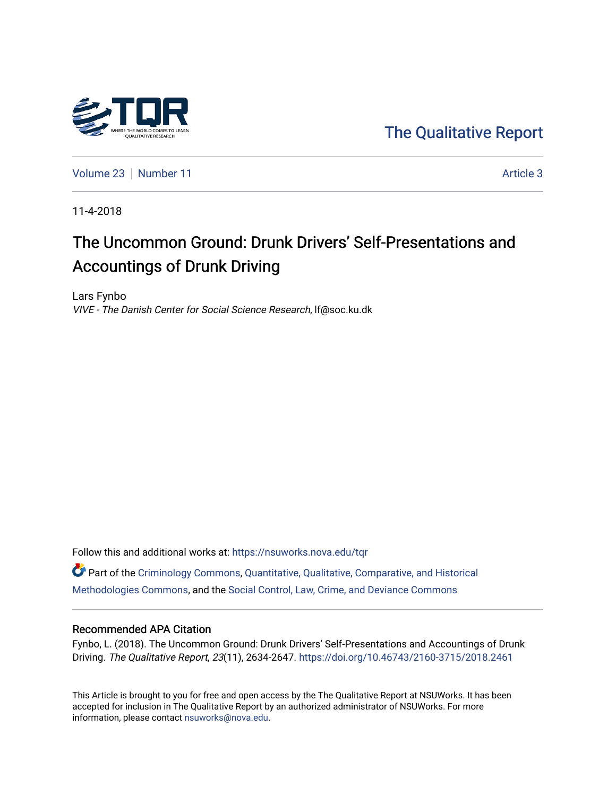

[The Qualitative Report](https://nsuworks.nova.edu/tqr) 

[Volume 23](https://nsuworks.nova.edu/tqr/vol23) [Number 11](https://nsuworks.nova.edu/tqr/vol23/iss11) [Article 3](https://nsuworks.nova.edu/tqr/vol23/iss11/3) Article 3

11-4-2018

# The Uncommon Ground: Drunk Drivers' Self-Presentations and Accountings of Drunk Driving

Lars Fynbo VIVE - The Danish Center for Social Science Research, lf@soc.ku.dk

Follow this and additional works at: [https://nsuworks.nova.edu/tqr](https://nsuworks.nova.edu/tqr?utm_source=nsuworks.nova.edu%2Ftqr%2Fvol23%2Fiss11%2F3&utm_medium=PDF&utm_campaign=PDFCoverPages) 

Part of the [Criminology Commons](http://network.bepress.com/hgg/discipline/417?utm_source=nsuworks.nova.edu%2Ftqr%2Fvol23%2Fiss11%2F3&utm_medium=PDF&utm_campaign=PDFCoverPages), [Quantitative, Qualitative, Comparative, and Historical](http://network.bepress.com/hgg/discipline/423?utm_source=nsuworks.nova.edu%2Ftqr%2Fvol23%2Fiss11%2F3&utm_medium=PDF&utm_campaign=PDFCoverPages) [Methodologies Commons](http://network.bepress.com/hgg/discipline/423?utm_source=nsuworks.nova.edu%2Ftqr%2Fvol23%2Fiss11%2F3&utm_medium=PDF&utm_campaign=PDFCoverPages), and the [Social Control, Law, Crime, and Deviance Commons](http://network.bepress.com/hgg/discipline/429?utm_source=nsuworks.nova.edu%2Ftqr%2Fvol23%2Fiss11%2F3&utm_medium=PDF&utm_campaign=PDFCoverPages) 

#### Recommended APA Citation

Fynbo, L. (2018). The Uncommon Ground: Drunk Drivers' Self-Presentations and Accountings of Drunk Driving. The Qualitative Report, 23(11), 2634-2647.<https://doi.org/10.46743/2160-3715/2018.2461>

This Article is brought to you for free and open access by the The Qualitative Report at NSUWorks. It has been accepted for inclusion in The Qualitative Report by an authorized administrator of NSUWorks. For more information, please contact [nsuworks@nova.edu.](mailto:nsuworks@nova.edu)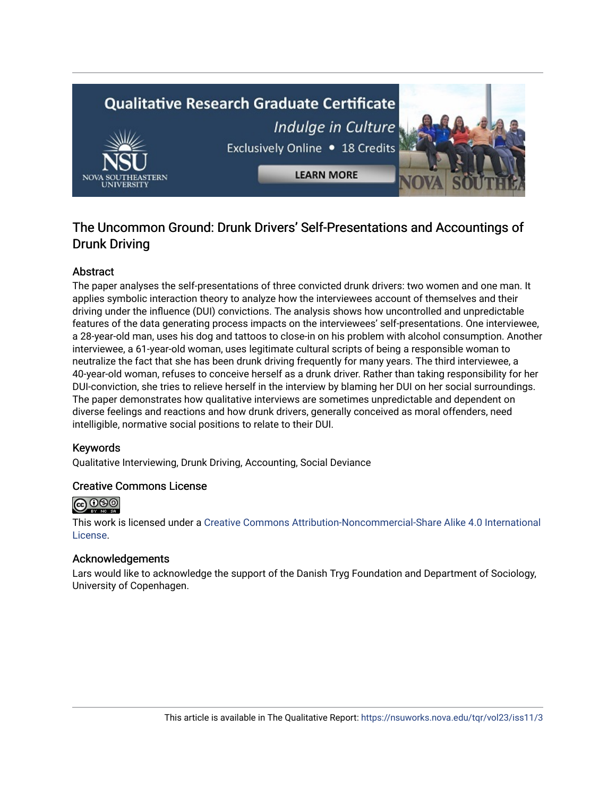# **Qualitative Research Graduate Certificate** Indulge in Culture Exclusively Online . 18 Credits **LEARN MORE**

### The Uncommon Ground: Drunk Drivers' Self-Presentations and Accountings of Drunk Driving

#### Abstract

The paper analyses the self-presentations of three convicted drunk drivers: two women and one man. It applies symbolic interaction theory to analyze how the interviewees account of themselves and their driving under the influence (DUI) convictions. The analysis shows how uncontrolled and unpredictable features of the data generating process impacts on the interviewees' self-presentations. One interviewee, a 28-year-old man, uses his dog and tattoos to close-in on his problem with alcohol consumption. Another interviewee, a 61-year-old woman, uses legitimate cultural scripts of being a responsible woman to neutralize the fact that she has been drunk driving frequently for many years. The third interviewee, a 40-year-old woman, refuses to conceive herself as a drunk driver. Rather than taking responsibility for her DUI-conviction, she tries to relieve herself in the interview by blaming her DUI on her social surroundings. The paper demonstrates how qualitative interviews are sometimes unpredictable and dependent on diverse feelings and reactions and how drunk drivers, generally conceived as moral offenders, need intelligible, normative social positions to relate to their DUI.

#### Keywords

Qualitative Interviewing, Drunk Driving, Accounting, Social Deviance

#### Creative Commons License



This work is licensed under a [Creative Commons Attribution-Noncommercial-Share Alike 4.0 International](https://creativecommons.org/licenses/by-nc-sa/4.0/)  [License](https://creativecommons.org/licenses/by-nc-sa/4.0/).

#### Acknowledgements

Lars would like to acknowledge the support of the Danish Tryg Foundation and Department of Sociology, University of Copenhagen.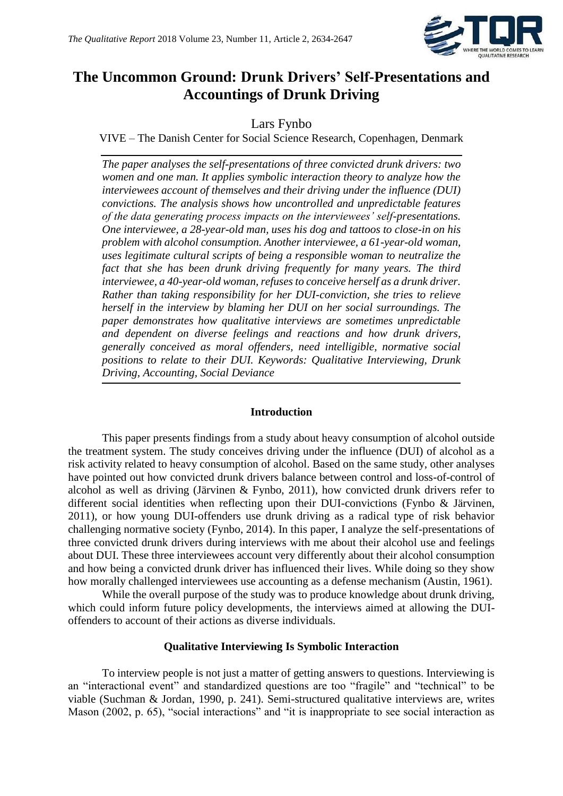

## **The Uncommon Ground: Drunk Drivers' Self-Presentations and Accountings of Drunk Driving**

Lars Fynbo

VIVE – The Danish Center for Social Science Research, Copenhagen, Denmark

*The paper analyses the self-presentations of three convicted drunk drivers: two women and one man. It applies symbolic interaction theory to analyze how the interviewees account of themselves and their driving under the influence (DUI) convictions. The analysis shows how uncontrolled and unpredictable features of the data generating process impacts on the interviewees' self-presentations. One interviewee, a 28-year-old man, uses his dog and tattoos to close-in on his problem with alcohol consumption. Another interviewee, a 61-year-old woman, uses legitimate cultural scripts of being a responsible woman to neutralize the*  fact that she has been drunk driving frequently for many years. The third *interviewee, a 40-year-old woman, refuses to conceive herself as a drunk driver. Rather than taking responsibility for her DUI-conviction, she tries to relieve herself in the interview by blaming her DUI on her social surroundings. The paper demonstrates how qualitative interviews are sometimes unpredictable and dependent on diverse feelings and reactions and how drunk drivers, generally conceived as moral offenders, need intelligible, normative social positions to relate to their DUI. Keywords: Qualitative Interviewing, Drunk Driving, Accounting, Social Deviance*

#### **Introduction**

This paper presents findings from a study about heavy consumption of alcohol outside the treatment system. The study conceives driving under the influence (DUI) of alcohol as a risk activity related to heavy consumption of alcohol. Based on the same study, other analyses have pointed out how convicted drunk drivers balance between control and loss-of-control of alcohol as well as driving (Järvinen & Fynbo, 2011), how convicted drunk drivers refer to different social identities when reflecting upon their DUI-convictions (Fynbo & Järvinen, 2011), or how young DUI-offenders use drunk driving as a radical type of risk behavior challenging normative society (Fynbo, 2014). In this paper, I analyze the self-presentations of three convicted drunk drivers during interviews with me about their alcohol use and feelings about DUI. These three interviewees account very differently about their alcohol consumption and how being a convicted drunk driver has influenced their lives. While doing so they show how morally challenged interviewees use accounting as a defense mechanism (Austin, 1961).

While the overall purpose of the study was to produce knowledge about drunk driving, which could inform future policy developments, the interviews aimed at allowing the DUIoffenders to account of their actions as diverse individuals.

#### **Qualitative Interviewing Is Symbolic Interaction**

To interview people is not just a matter of getting answers to questions. Interviewing is an "interactional event" and standardized questions are too "fragile" and "technical" to be viable (Suchman & Jordan, 1990, p. 241). Semi-structured qualitative interviews are, writes Mason (2002, p. 65), "social interactions" and "it is inappropriate to see social interaction as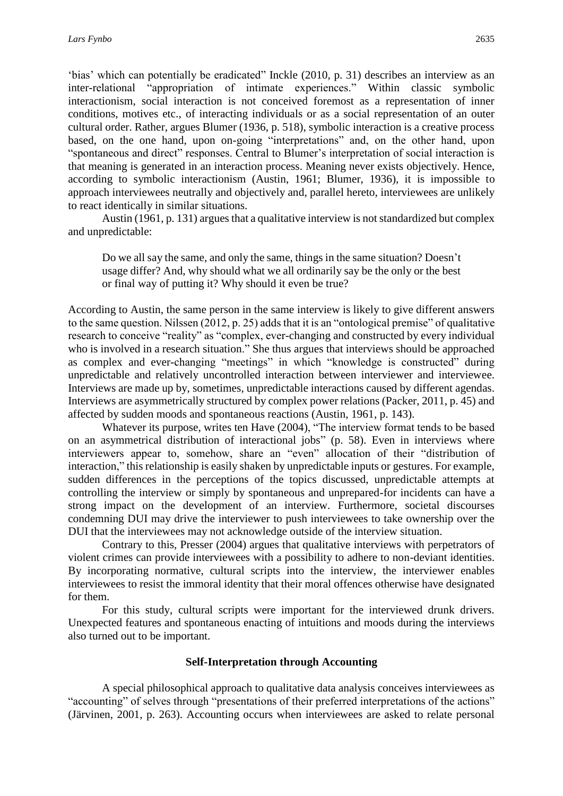'bias' which can potentially be eradicated" Inckle (2010, p. 31) describes an interview as an inter-relational "appropriation of intimate experiences." Within classic symbolic interactionism, social interaction is not conceived foremost as a representation of inner conditions, motives etc., of interacting individuals or as a social representation of an outer cultural order. Rather, argues Blumer (1936, p. 518), symbolic interaction is a creative process based, on the one hand, upon on-going "interpretations" and, on the other hand, upon "spontaneous and direct" responses. Central to Blumer's interpretation of social interaction is that meaning is generated in an interaction process. Meaning never exists objectively. Hence, according to symbolic interactionism (Austin, 1961; Blumer, 1936), it is impossible to approach interviewees neutrally and objectively and, parallel hereto, interviewees are unlikely to react identically in similar situations.

Austin (1961, p. 131) argues that a qualitative interview is not standardized but complex and unpredictable:

Do we all say the same, and only the same, things in the same situation? Doesn't usage differ? And, why should what we all ordinarily say be the only or the best or final way of putting it? Why should it even be true?

According to Austin, the same person in the same interview is likely to give different answers to the same question. Nilssen (2012, p. 25) adds that it is an "ontological premise" of qualitative research to conceive "reality" as "complex, ever-changing and constructed by every individual who is involved in a research situation." She thus argues that interviews should be approached as complex and ever-changing "meetings" in which "knowledge is constructed" during unpredictable and relatively uncontrolled interaction between interviewer and interviewee. Interviews are made up by, sometimes, unpredictable interactions caused by different agendas. Interviews are asymmetrically structured by complex power relations (Packer, 2011, p. 45) and affected by sudden moods and spontaneous reactions (Austin, 1961, p. 143).

Whatever its purpose, writes ten Have (2004), "The interview format tends to be based on an asymmetrical distribution of interactional jobs" (p. 58). Even in interviews where interviewers appear to, somehow, share an "even" allocation of their "distribution of interaction," this relationship is easily shaken by unpredictable inputs or gestures. For example, sudden differences in the perceptions of the topics discussed, unpredictable attempts at controlling the interview or simply by spontaneous and unprepared-for incidents can have a strong impact on the development of an interview. Furthermore, societal discourses condemning DUI may drive the interviewer to push interviewees to take ownership over the DUI that the interviewees may not acknowledge outside of the interview situation.

Contrary to this, Presser (2004) argues that qualitative interviews with perpetrators of violent crimes can provide interviewees with a possibility to adhere to non-deviant identities. By incorporating normative, cultural scripts into the interview, the interviewer enables interviewees to resist the immoral identity that their moral offences otherwise have designated for them.

For this study, cultural scripts were important for the interviewed drunk drivers. Unexpected features and spontaneous enacting of intuitions and moods during the interviews also turned out to be important.

#### **Self-Interpretation through Accounting**

A special philosophical approach to qualitative data analysis conceives interviewees as "accounting" of selves through "presentations of their preferred interpretations of the actions" (Järvinen, 2001, p. 263). Accounting occurs when interviewees are asked to relate personal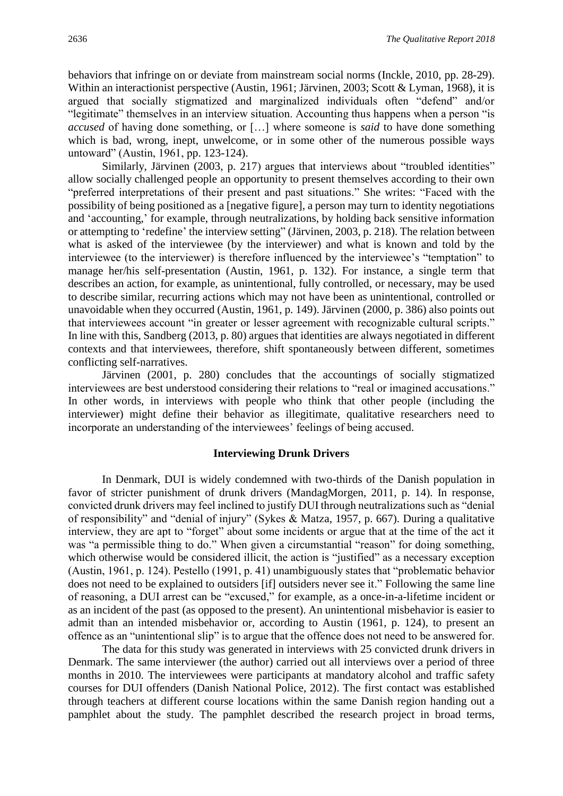behaviors that infringe on or deviate from mainstream social norms (Inckle, 2010, pp. 28-29). Within an interactionist perspective (Austin, 1961; Järvinen, 2003; Scott & Lyman, 1968), it is argued that socially stigmatized and marginalized individuals often "defend" and/or "legitimate" themselves in an interview situation. Accounting thus happens when a person "is *accused* of having done something, or […] where someone is *said* to have done something which is bad, wrong, inept, unwelcome, or in some other of the numerous possible ways untoward" (Austin, 1961, pp. 123-124).

Similarly, Järvinen (2003, p. 217) argues that interviews about "troubled identities" allow socially challenged people an opportunity to present themselves according to their own "preferred interpretations of their present and past situations." She writes: "Faced with the possibility of being positioned as a [negative figure], a person may turn to identity negotiations and 'accounting,' for example, through neutralizations, by holding back sensitive information or attempting to 'redefine' the interview setting" (Järvinen, 2003, p. 218). The relation between what is asked of the interviewee (by the interviewer) and what is known and told by the interviewee (to the interviewer) is therefore influenced by the interviewee's "temptation" to manage her/his self-presentation (Austin, 1961, p. 132). For instance, a single term that describes an action, for example, as unintentional, fully controlled, or necessary, may be used to describe similar, recurring actions which may not have been as unintentional, controlled or unavoidable when they occurred (Austin, 1961, p. 149). Järvinen (2000, p. 386) also points out that interviewees account "in greater or lesser agreement with recognizable cultural scripts." In line with this, Sandberg (2013, p. 80) argues that identities are always negotiated in different contexts and that interviewees, therefore, shift spontaneously between different, sometimes conflicting self-narratives.

Järvinen (2001, p. 280) concludes that the accountings of socially stigmatized interviewees are best understood considering their relations to "real or imagined accusations." In other words, in interviews with people who think that other people (including the interviewer) might define their behavior as illegitimate, qualitative researchers need to incorporate an understanding of the interviewees' feelings of being accused.

#### **Interviewing Drunk Drivers**

In Denmark, DUI is widely condemned with two-thirds of the Danish population in favor of stricter punishment of drunk drivers (MandagMorgen, 2011, p. 14). In response, convicted drunk drivers may feel inclined to justify DUI through neutralizations such as "denial of responsibility" and "denial of injury" (Sykes & Matza, 1957, p. 667). During a qualitative interview, they are apt to "forget" about some incidents or argue that at the time of the act it was "a permissible thing to do." When given a circumstantial "reason" for doing something, which otherwise would be considered illicit, the action is "justified" as a necessary exception (Austin, 1961, p. 124). Pestello (1991, p. 41) unambiguously states that "problematic behavior does not need to be explained to outsiders [if] outsiders never see it." Following the same line of reasoning, a DUI arrest can be "excused," for example, as a once-in-a-lifetime incident or as an incident of the past (as opposed to the present). An unintentional misbehavior is easier to admit than an intended misbehavior or, according to Austin (1961, p. 124), to present an offence as an "unintentional slip" is to argue that the offence does not need to be answered for.

The data for this study was generated in interviews with 25 convicted drunk drivers in Denmark. The same interviewer (the author) carried out all interviews over a period of three months in 2010. The interviewees were participants at mandatory alcohol and traffic safety courses for DUI offenders (Danish National Police, 2012). The first contact was established through teachers at different course locations within the same Danish region handing out a pamphlet about the study. The pamphlet described the research project in broad terms,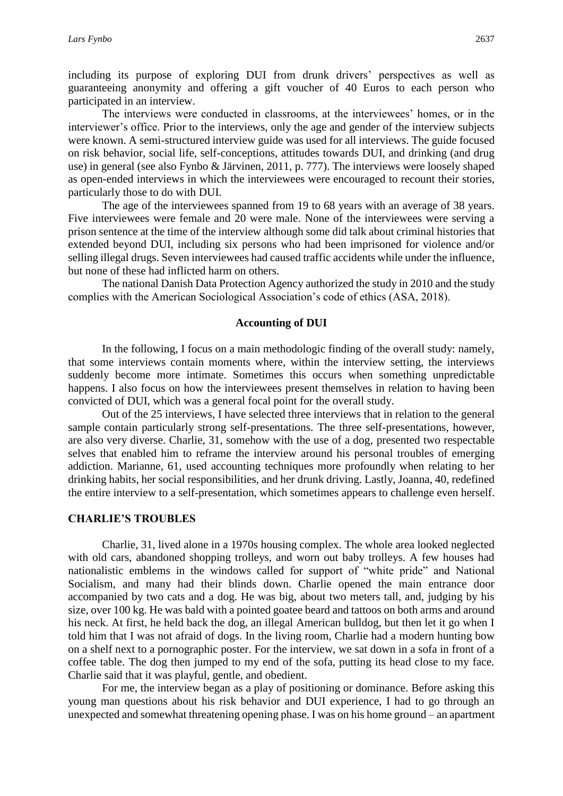including its purpose of exploring DUI from drunk drivers' perspectives as well as guaranteeing anonymity and offering a gift voucher of 40 Euros to each person who participated in an interview.

The interviews were conducted in classrooms, at the interviewees' homes, or in the interviewer's office. Prior to the interviews, only the age and gender of the interview subjects were known. A semi-structured interview guide was used for all interviews. The guide focused on risk behavior, social life, self-conceptions, attitudes towards DUI, and drinking (and drug use) in general (see also Fynbo & Järvinen, 2011, p. 777). The interviews were loosely shaped as open-ended interviews in which the interviewees were encouraged to recount their stories, particularly those to do with DUI.

The age of the interviewees spanned from 19 to 68 years with an average of 38 years. Five interviewees were female and 20 were male. None of the interviewees were serving a prison sentence at the time of the interview although some did talk about criminal histories that extended beyond DUI, including six persons who had been imprisoned for violence and/or selling illegal drugs. Seven interviewees had caused traffic accidents while under the influence, but none of these had inflicted harm on others.

The national Danish Data Protection Agency authorized the study in 2010 and the study complies with the American Sociological Association's code of ethics (ASA, 2018).

#### **Accounting of DUI**

In the following, I focus on a main methodologic finding of the overall study: namely, that some interviews contain moments where, within the interview setting, the interviews suddenly become more intimate. Sometimes this occurs when something unpredictable happens. I also focus on how the interviewees present themselves in relation to having been convicted of DUI, which was a general focal point for the overall study.

Out of the 25 interviews, I have selected three interviews that in relation to the general sample contain particularly strong self-presentations. The three self-presentations, however, are also very diverse. Charlie, 31, somehow with the use of a dog, presented two respectable selves that enabled him to reframe the interview around his personal troubles of emerging addiction. Marianne, 61, used accounting techniques more profoundly when relating to her drinking habits, her social responsibilities, and her drunk driving. Lastly, Joanna, 40, redefined the entire interview to a self-presentation, which sometimes appears to challenge even herself.

#### **CHARLIE'S TROUBLES**

Charlie, 31, lived alone in a 1970s housing complex. The whole area looked neglected with old cars, abandoned shopping trolleys, and worn out baby trolleys. A few houses had nationalistic emblems in the windows called for support of "white pride" and National Socialism, and many had their blinds down. Charlie opened the main entrance door accompanied by two cats and a dog. He was big, about two meters tall, and, judging by his size, over 100 kg. He was bald with a pointed goatee beard and tattoos on both arms and around his neck. At first, he held back the dog, an illegal American bulldog, but then let it go when I told him that I was not afraid of dogs. In the living room, Charlie had a modern hunting bow on a shelf next to a pornographic poster. For the interview, we sat down in a sofa in front of a coffee table. The dog then jumped to my end of the sofa, putting its head close to my face. Charlie said that it was playful, gentle, and obedient.

For me, the interview began as a play of positioning or dominance. Before asking this young man questions about his risk behavior and DUI experience, I had to go through an unexpected and somewhat threatening opening phase. I was on his home ground – an apartment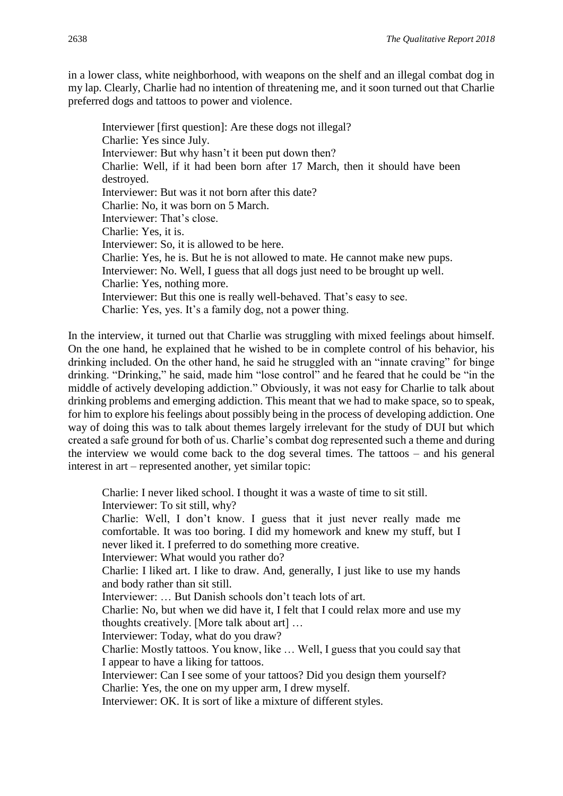in a lower class, white neighborhood, with weapons on the shelf and an illegal combat dog in my lap. Clearly, Charlie had no intention of threatening me, and it soon turned out that Charlie preferred dogs and tattoos to power and violence.

Interviewer [first question]: Are these dogs not illegal? Charlie: Yes since July. Interviewer: But why hasn't it been put down then? Charlie: Well, if it had been born after 17 March, then it should have been destroyed. Interviewer: But was it not born after this date? Charlie: No, it was born on 5 March. Interviewer: That's close. Charlie: Yes, it is. Interviewer: So, it is allowed to be here. Charlie: Yes, he is. But he is not allowed to mate. He cannot make new pups. Interviewer: No. Well, I guess that all dogs just need to be brought up well. Charlie: Yes, nothing more. Interviewer: But this one is really well-behaved. That's easy to see. Charlie: Yes, yes. It's a family dog, not a power thing.

In the interview, it turned out that Charlie was struggling with mixed feelings about himself. On the one hand, he explained that he wished to be in complete control of his behavior, his drinking included. On the other hand, he said he struggled with an "innate craving" for binge drinking. "Drinking," he said, made him "lose control" and he feared that he could be "in the middle of actively developing addiction." Obviously, it was not easy for Charlie to talk about drinking problems and emerging addiction. This meant that we had to make space, so to speak, for him to explore his feelings about possibly being in the process of developing addiction. One way of doing this was to talk about themes largely irrelevant for the study of DUI but which created a safe ground for both of us. Charlie's combat dog represented such a theme and during the interview we would come back to the dog several times. The tattoos – and his general interest in art – represented another, yet similar topic:

Charlie: I never liked school. I thought it was a waste of time to sit still. Interviewer: To sit still, why?

Charlie: Well, I don't know. I guess that it just never really made me comfortable. It was too boring. I did my homework and knew my stuff, but I never liked it. I preferred to do something more creative.

Interviewer: What would you rather do?

Charlie: I liked art. I like to draw. And, generally, I just like to use my hands and body rather than sit still.

Interviewer: … But Danish schools don't teach lots of art.

Charlie: No, but when we did have it, I felt that I could relax more and use my thoughts creatively. [More talk about art] …

Interviewer: Today, what do you draw?

Charlie: Mostly tattoos. You know, like … Well, I guess that you could say that I appear to have a liking for tattoos.

Interviewer: Can I see some of your tattoos? Did you design them yourself? Charlie: Yes, the one on my upper arm, I drew myself.

Interviewer: OK. It is sort of like a mixture of different styles.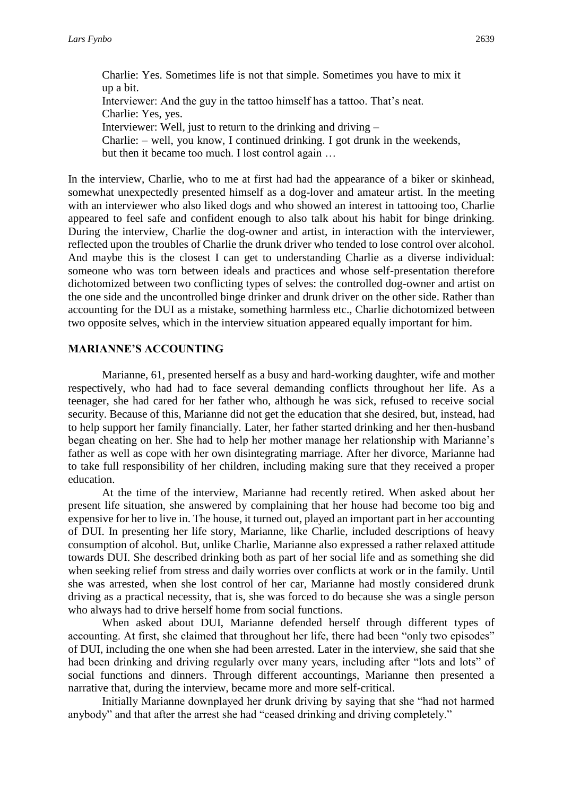Charlie: Yes. Sometimes life is not that simple. Sometimes you have to mix it up a bit. Interviewer: And the guy in the tattoo himself has a tattoo. That's neat. Charlie: Yes, yes. Interviewer: Well, just to return to the drinking and driving – Charlie: – well, you know, I continued drinking. I got drunk in the weekends, but then it became too much. I lost control again …

In the interview, Charlie, who to me at first had had the appearance of a biker or skinhead, somewhat unexpectedly presented himself as a dog-lover and amateur artist. In the meeting with an interviewer who also liked dogs and who showed an interest in tattooing too, Charlie appeared to feel safe and confident enough to also talk about his habit for binge drinking. During the interview, Charlie the dog-owner and artist, in interaction with the interviewer, reflected upon the troubles of Charlie the drunk driver who tended to lose control over alcohol. And maybe this is the closest I can get to understanding Charlie as a diverse individual: someone who was torn between ideals and practices and whose self-presentation therefore dichotomized between two conflicting types of selves: the controlled dog-owner and artist on the one side and the uncontrolled binge drinker and drunk driver on the other side. Rather than accounting for the DUI as a mistake, something harmless etc., Charlie dichotomized between two opposite selves, which in the interview situation appeared equally important for him.

#### **MARIANNE'S ACCOUNTING**

Marianne, 61, presented herself as a busy and hard-working daughter, wife and mother respectively, who had had to face several demanding conflicts throughout her life. As a teenager, she had cared for her father who, although he was sick, refused to receive social security. Because of this, Marianne did not get the education that she desired, but, instead, had to help support her family financially. Later, her father started drinking and her then-husband began cheating on her. She had to help her mother manage her relationship with Marianne's father as well as cope with her own disintegrating marriage. After her divorce, Marianne had to take full responsibility of her children, including making sure that they received a proper education.

At the time of the interview, Marianne had recently retired. When asked about her present life situation, she answered by complaining that her house had become too big and expensive for her to live in. The house, it turned out, played an important part in her accounting of DUI. In presenting her life story, Marianne, like Charlie, included descriptions of heavy consumption of alcohol. But, unlike Charlie, Marianne also expressed a rather relaxed attitude towards DUI. She described drinking both as part of her social life and as something she did when seeking relief from stress and daily worries over conflicts at work or in the family. Until she was arrested, when she lost control of her car, Marianne had mostly considered drunk driving as a practical necessity, that is, she was forced to do because she was a single person who always had to drive herself home from social functions.

When asked about DUI, Marianne defended herself through different types of accounting. At first, she claimed that throughout her life, there had been "only two episodes" of DUI, including the one when she had been arrested. Later in the interview, she said that she had been drinking and driving regularly over many years, including after "lots and lots" of social functions and dinners. Through different accountings, Marianne then presented a narrative that, during the interview, became more and more self-critical.

Initially Marianne downplayed her drunk driving by saying that she "had not harmed anybody" and that after the arrest she had "ceased drinking and driving completely."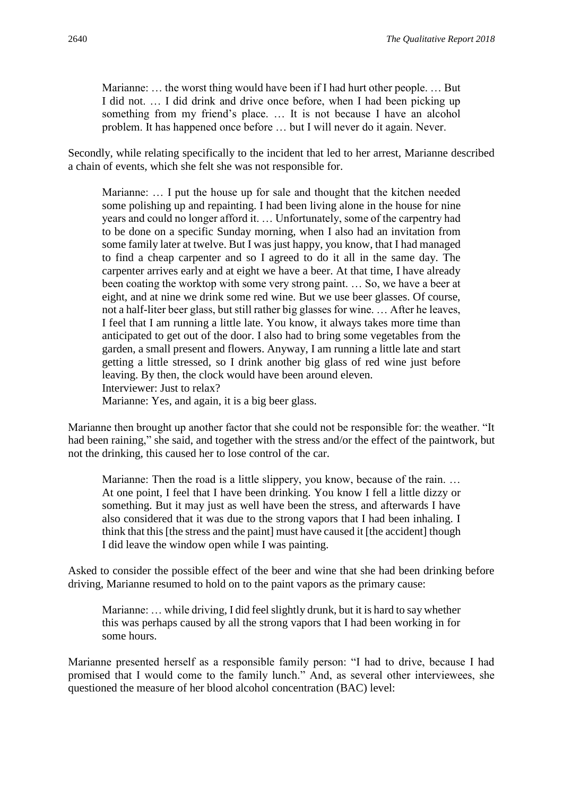Marianne: … the worst thing would have been if I had hurt other people. … But I did not. … I did drink and drive once before, when I had been picking up something from my friend's place. … It is not because I have an alcohol problem. It has happened once before … but I will never do it again. Never.

Secondly, while relating specifically to the incident that led to her arrest, Marianne described a chain of events, which she felt she was not responsible for.

Marianne: … I put the house up for sale and thought that the kitchen needed some polishing up and repainting. I had been living alone in the house for nine years and could no longer afford it. … Unfortunately, some of the carpentry had to be done on a specific Sunday morning, when I also had an invitation from some family later at twelve. But I was just happy, you know, that I had managed to find a cheap carpenter and so I agreed to do it all in the same day. The carpenter arrives early and at eight we have a beer. At that time, I have already been coating the worktop with some very strong paint. … So, we have a beer at eight, and at nine we drink some red wine. But we use beer glasses. Of course, not a half-liter beer glass, but still rather big glasses for wine. … After he leaves, I feel that I am running a little late. You know, it always takes more time than anticipated to get out of the door. I also had to bring some vegetables from the garden, a small present and flowers. Anyway, I am running a little late and start getting a little stressed, so I drink another big glass of red wine just before leaving. By then, the clock would have been around eleven. Interviewer: Just to relax? Marianne: Yes, and again, it is a big beer glass.

Marianne then brought up another factor that she could not be responsible for: the weather. "It had been raining," she said, and together with the stress and/or the effect of the paintwork, but not the drinking, this caused her to lose control of the car.

Marianne: Then the road is a little slippery, you know, because of the rain. ... At one point, I feel that I have been drinking. You know I fell a little dizzy or something. But it may just as well have been the stress, and afterwards I have also considered that it was due to the strong vapors that I had been inhaling. I think that this [the stress and the paint] must have caused it [the accident] though I did leave the window open while I was painting.

Asked to consider the possible effect of the beer and wine that she had been drinking before driving, Marianne resumed to hold on to the paint vapors as the primary cause:

Marianne: … while driving, I did feel slightly drunk, but it is hard to say whether this was perhaps caused by all the strong vapors that I had been working in for some hours.

Marianne presented herself as a responsible family person: "I had to drive, because I had promised that I would come to the family lunch." And, as several other interviewees, she questioned the measure of her blood alcohol concentration (BAC) level: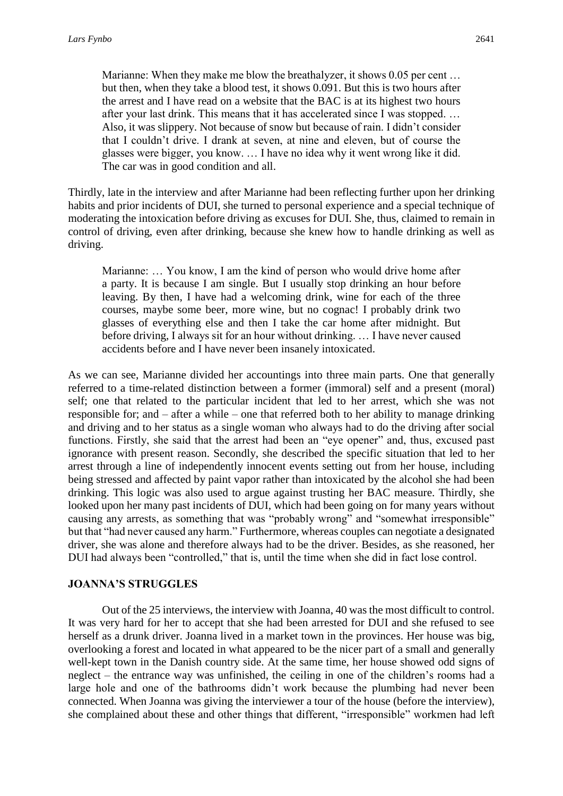Marianne: When they make me blow the breathalyzer, it shows 0.05 per cent ... but then, when they take a blood test, it shows 0.091. But this is two hours after the arrest and I have read on a website that the BAC is at its highest two hours after your last drink. This means that it has accelerated since I was stopped. … Also, it was slippery. Not because of snow but because of rain. I didn't consider that I couldn't drive. I drank at seven, at nine and eleven, but of course the glasses were bigger, you know. … I have no idea why it went wrong like it did. The car was in good condition and all.

Thirdly, late in the interview and after Marianne had been reflecting further upon her drinking habits and prior incidents of DUI, she turned to personal experience and a special technique of moderating the intoxication before driving as excuses for DUI. She, thus, claimed to remain in control of driving, even after drinking, because she knew how to handle drinking as well as driving.

Marianne: … You know, I am the kind of person who would drive home after a party. It is because I am single. But I usually stop drinking an hour before leaving. By then, I have had a welcoming drink, wine for each of the three courses, maybe some beer, more wine, but no cognac! I probably drink two glasses of everything else and then I take the car home after midnight. But before driving, I always sit for an hour without drinking. … I have never caused accidents before and I have never been insanely intoxicated.

As we can see, Marianne divided her accountings into three main parts. One that generally referred to a time-related distinction between a former (immoral) self and a present (moral) self; one that related to the particular incident that led to her arrest, which she was not responsible for; and – after a while – one that referred both to her ability to manage drinking and driving and to her status as a single woman who always had to do the driving after social functions. Firstly, she said that the arrest had been an "eye opener" and, thus, excused past ignorance with present reason. Secondly, she described the specific situation that led to her arrest through a line of independently innocent events setting out from her house, including being stressed and affected by paint vapor rather than intoxicated by the alcohol she had been drinking. This logic was also used to argue against trusting her BAC measure. Thirdly, she looked upon her many past incidents of DUI, which had been going on for many years without causing any arrests, as something that was "probably wrong" and "somewhat irresponsible" but that "had never caused any harm." Furthermore, whereas couples can negotiate a designated driver, she was alone and therefore always had to be the driver. Besides, as she reasoned, her DUI had always been "controlled," that is, until the time when she did in fact lose control.

#### **JOANNA'S STRUGGLES**

Out of the 25 interviews, the interview with Joanna, 40 was the most difficult to control. It was very hard for her to accept that she had been arrested for DUI and she refused to see herself as a drunk driver. Joanna lived in a market town in the provinces. Her house was big, overlooking a forest and located in what appeared to be the nicer part of a small and generally well-kept town in the Danish country side. At the same time, her house showed odd signs of neglect – the entrance way was unfinished, the ceiling in one of the children's rooms had a large hole and one of the bathrooms didn't work because the plumbing had never been connected. When Joanna was giving the interviewer a tour of the house (before the interview), she complained about these and other things that different, "irresponsible" workmen had left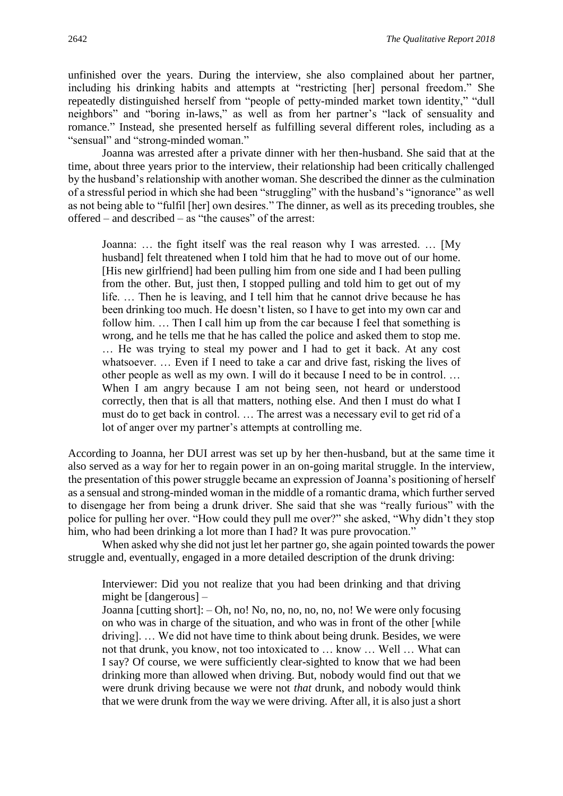unfinished over the years. During the interview, she also complained about her partner, including his drinking habits and attempts at "restricting [her] personal freedom." She repeatedly distinguished herself from "people of petty-minded market town identity," "dull neighbors" and "boring in-laws," as well as from her partner's "lack of sensuality and romance." Instead, she presented herself as fulfilling several different roles, including as a "sensual" and "strong-minded woman."

Joanna was arrested after a private dinner with her then-husband. She said that at the time, about three years prior to the interview, their relationship had been critically challenged by the husband's relationship with another woman. She described the dinner as the culmination of a stressful period in which she had been "struggling" with the husband's "ignorance" as well as not being able to "fulfil [her] own desires." The dinner, as well as its preceding troubles, she offered – and described – as "the causes" of the arrest:

Joanna: … the fight itself was the real reason why I was arrested. … [My husband] felt threatened when I told him that he had to move out of our home. [His new girlfriend] had been pulling him from one side and I had been pulling from the other. But, just then, I stopped pulling and told him to get out of my life. … Then he is leaving, and I tell him that he cannot drive because he has been drinking too much. He doesn't listen, so I have to get into my own car and follow him. ... Then I call him up from the car because I feel that something is wrong, and he tells me that he has called the police and asked them to stop me. … He was trying to steal my power and I had to get it back. At any cost whatsoever. ... Even if I need to take a car and drive fast, risking the lives of other people as well as my own. I will do it because I need to be in control. … When I am angry because I am not being seen, not heard or understood correctly, then that is all that matters, nothing else. And then I must do what I must do to get back in control. … The arrest was a necessary evil to get rid of a lot of anger over my partner's attempts at controlling me.

According to Joanna, her DUI arrest was set up by her then-husband, but at the same time it also served as a way for her to regain power in an on-going marital struggle. In the interview, the presentation of this power struggle became an expression of Joanna's positioning of herself as a sensual and strong-minded woman in the middle of a romantic drama, which further served to disengage her from being a drunk driver. She said that she was "really furious" with the police for pulling her over. "How could they pull me over?" she asked, "Why didn't they stop him, who had been drinking a lot more than I had? It was pure provocation."

When asked why she did not just let her partner go, she again pointed towards the power struggle and, eventually, engaged in a more detailed description of the drunk driving:

Interviewer: Did you not realize that you had been drinking and that driving might be [dangerous] –

Joanna [cutting short]: – Oh, no! No, no, no, no, no, no! We were only focusing on who was in charge of the situation, and who was in front of the other [while driving]. … We did not have time to think about being drunk. Besides, we were not that drunk, you know, not too intoxicated to … know … Well … What can I say? Of course, we were sufficiently clear-sighted to know that we had been drinking more than allowed when driving. But, nobody would find out that we were drunk driving because we were not *that* drunk, and nobody would think that we were drunk from the way we were driving. After all, it is also just a short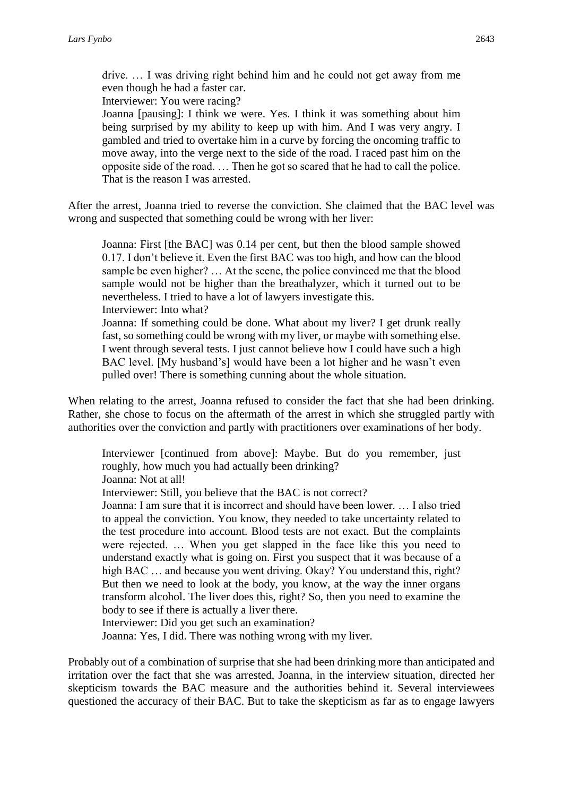drive. … I was driving right behind him and he could not get away from me even though he had a faster car.

Interviewer: You were racing?

Joanna [pausing]: I think we were. Yes. I think it was something about him being surprised by my ability to keep up with him. And I was very angry. I gambled and tried to overtake him in a curve by forcing the oncoming traffic to move away, into the verge next to the side of the road. I raced past him on the opposite side of the road. … Then he got so scared that he had to call the police. That is the reason I was arrested.

After the arrest, Joanna tried to reverse the conviction. She claimed that the BAC level was wrong and suspected that something could be wrong with her liver:

Joanna: First [the BAC] was 0.14 per cent, but then the blood sample showed 0.17. I don't believe it. Even the first BAC was too high, and how can the blood sample be even higher? … At the scene, the police convinced me that the blood sample would not be higher than the breathalyzer, which it turned out to be nevertheless. I tried to have a lot of lawyers investigate this. Interviewer: Into what?

Joanna: If something could be done. What about my liver? I get drunk really fast, so something could be wrong with my liver, or maybe with something else. I went through several tests. I just cannot believe how I could have such a high BAC level. [My husband's] would have been a lot higher and he wasn't even pulled over! There is something cunning about the whole situation.

When relating to the arrest, Joanna refused to consider the fact that she had been drinking. Rather, she chose to focus on the aftermath of the arrest in which she struggled partly with authorities over the conviction and partly with practitioners over examinations of her body.

Interviewer [continued from above]: Maybe. But do you remember, just roughly, how much you had actually been drinking? Joanna: Not at all!

Interviewer: Still, you believe that the BAC is not correct?

Joanna: I am sure that it is incorrect and should have been lower. … I also tried to appeal the conviction. You know, they needed to take uncertainty related to the test procedure into account. Blood tests are not exact. But the complaints were rejected. … When you get slapped in the face like this you need to understand exactly what is going on. First you suspect that it was because of a high BAC ... and because you went driving. Okay? You understand this, right? But then we need to look at the body, you know, at the way the inner organs transform alcohol. The liver does this, right? So, then you need to examine the body to see if there is actually a liver there.

Interviewer: Did you get such an examination?

Joanna: Yes, I did. There was nothing wrong with my liver.

Probably out of a combination of surprise that she had been drinking more than anticipated and irritation over the fact that she was arrested, Joanna, in the interview situation, directed her skepticism towards the BAC measure and the authorities behind it. Several interviewees questioned the accuracy of their BAC. But to take the skepticism as far as to engage lawyers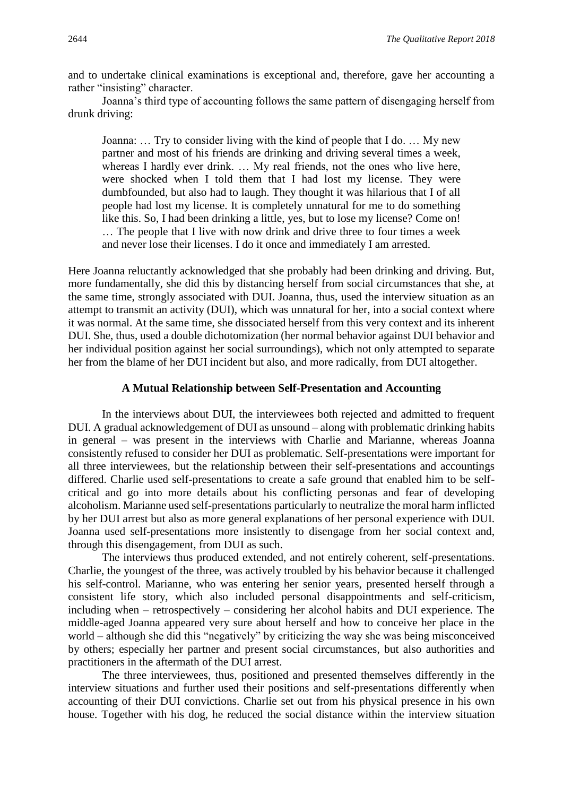and to undertake clinical examinations is exceptional and, therefore, gave her accounting a rather "insisting" character.

Joanna's third type of accounting follows the same pattern of disengaging herself from drunk driving:

Joanna: … Try to consider living with the kind of people that I do. … My new partner and most of his friends are drinking and driving several times a week, whereas I hardly ever drink. … My real friends, not the ones who live here, were shocked when I told them that I had lost my license. They were dumbfounded, but also had to laugh. They thought it was hilarious that I of all people had lost my license. It is completely unnatural for me to do something like this. So, I had been drinking a little, yes, but to lose my license? Come on! … The people that I live with now drink and drive three to four times a week and never lose their licenses. I do it once and immediately I am arrested.

Here Joanna reluctantly acknowledged that she probably had been drinking and driving. But, more fundamentally, she did this by distancing herself from social circumstances that she, at the same time, strongly associated with DUI. Joanna, thus, used the interview situation as an attempt to transmit an activity (DUI), which was unnatural for her, into a social context where it was normal. At the same time, she dissociated herself from this very context and its inherent DUI. She, thus, used a double dichotomization (her normal behavior against DUI behavior and her individual position against her social surroundings), which not only attempted to separate her from the blame of her DUI incident but also, and more radically, from DUI altogether.

#### **A Mutual Relationship between Self-Presentation and Accounting**

In the interviews about DUI, the interviewees both rejected and admitted to frequent DUI. A gradual acknowledgement of DUI as unsound – along with problematic drinking habits in general – was present in the interviews with Charlie and Marianne, whereas Joanna consistently refused to consider her DUI as problematic. Self-presentations were important for all three interviewees, but the relationship between their self-presentations and accountings differed. Charlie used self-presentations to create a safe ground that enabled him to be selfcritical and go into more details about his conflicting personas and fear of developing alcoholism. Marianne used self-presentations particularly to neutralize the moral harm inflicted by her DUI arrest but also as more general explanations of her personal experience with DUI. Joanna used self-presentations more insistently to disengage from her social context and, through this disengagement, from DUI as such.

The interviews thus produced extended, and not entirely coherent, self-presentations. Charlie, the youngest of the three, was actively troubled by his behavior because it challenged his self-control. Marianne, who was entering her senior years, presented herself through a consistent life story, which also included personal disappointments and self-criticism, including when – retrospectively – considering her alcohol habits and DUI experience. The middle-aged Joanna appeared very sure about herself and how to conceive her place in the world – although she did this "negatively" by criticizing the way she was being misconceived by others; especially her partner and present social circumstances, but also authorities and practitioners in the aftermath of the DUI arrest.

The three interviewees, thus, positioned and presented themselves differently in the interview situations and further used their positions and self-presentations differently when accounting of their DUI convictions. Charlie set out from his physical presence in his own house. Together with his dog, he reduced the social distance within the interview situation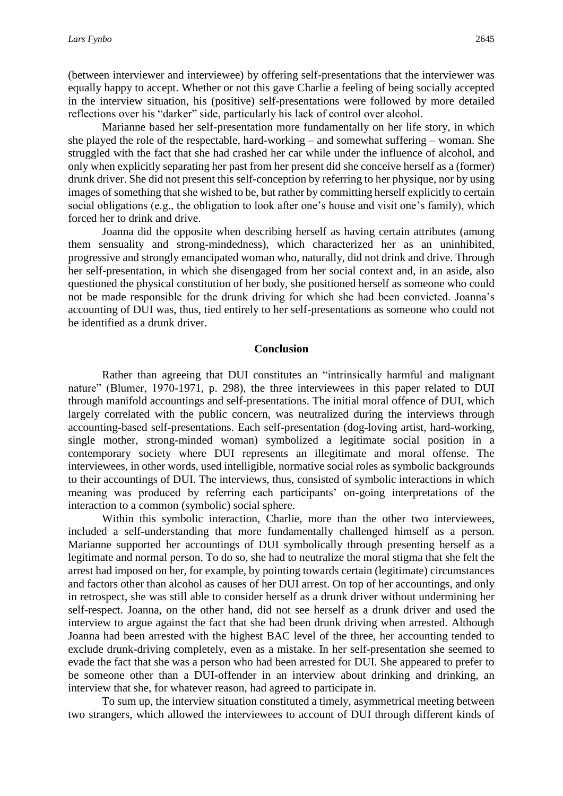(between interviewer and interviewee) by offering self-presentations that the interviewer was equally happy to accept. Whether or not this gave Charlie a feeling of being socially accepted in the interview situation, his (positive) self-presentations were followed by more detailed reflections over his "darker" side, particularly his lack of control over alcohol.

Marianne based her self-presentation more fundamentally on her life story, in which she played the role of the respectable, hard-working – and somewhat suffering – woman. She struggled with the fact that she had crashed her car while under the influence of alcohol, and only when explicitly separating her past from her present did she conceive herself as a (former) drunk driver. She did not present this self-conception by referring to her physique, nor by using images of something that she wished to be, but rather by committing herself explicitly to certain social obligations (e.g., the obligation to look after one's house and visit one's family), which forced her to drink and drive.

Joanna did the opposite when describing herself as having certain attributes (among them sensuality and strong-mindedness), which characterized her as an uninhibited, progressive and strongly emancipated woman who, naturally, did not drink and drive. Through her self-presentation, in which she disengaged from her social context and, in an aside, also questioned the physical constitution of her body, she positioned herself as someone who could not be made responsible for the drunk driving for which she had been convicted. Joanna's accounting of DUI was, thus, tied entirely to her self-presentations as someone who could not be identified as a drunk driver.

#### **Conclusion**

Rather than agreeing that DUI constitutes an "intrinsically harmful and malignant nature" (Blumer, 1970-1971, p. 298), the three interviewees in this paper related to DUI through manifold accountings and self-presentations. The initial moral offence of DUI, which largely correlated with the public concern, was neutralized during the interviews through accounting-based self-presentations. Each self-presentation (dog-loving artist, hard-working, single mother, strong-minded woman) symbolized a legitimate social position in a contemporary society where DUI represents an illegitimate and moral offense. The interviewees, in other words, used intelligible, normative social roles as symbolic backgrounds to their accountings of DUI. The interviews, thus, consisted of symbolic interactions in which meaning was produced by referring each participants' on-going interpretations of the interaction to a common (symbolic) social sphere.

Within this symbolic interaction, Charlie, more than the other two interviewees, included a self-understanding that more fundamentally challenged himself as a person. Marianne supported her accountings of DUI symbolically through presenting herself as a legitimate and normal person. To do so, she had to neutralize the moral stigma that she felt the arrest had imposed on her, for example, by pointing towards certain (legitimate) circumstances and factors other than alcohol as causes of her DUI arrest. On top of her accountings, and only in retrospect, she was still able to consider herself as a drunk driver without undermining her self-respect. Joanna, on the other hand, did not see herself as a drunk driver and used the interview to argue against the fact that she had been drunk driving when arrested. Although Joanna had been arrested with the highest BAC level of the three, her accounting tended to exclude drunk-driving completely, even as a mistake. In her self-presentation she seemed to evade the fact that she was a person who had been arrested for DUI. She appeared to prefer to be someone other than a DUI-offender in an interview about drinking and drinking, an interview that she, for whatever reason, had agreed to participate in.

To sum up, the interview situation constituted a timely, asymmetrical meeting between two strangers, which allowed the interviewees to account of DUI through different kinds of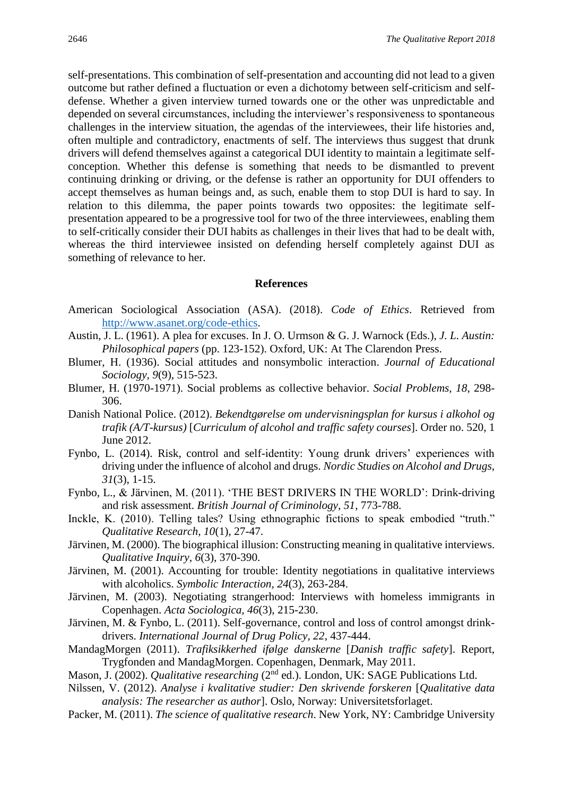self-presentations. This combination of self-presentation and accounting did not lead to a given outcome but rather defined a fluctuation or even a dichotomy between self-criticism and selfdefense. Whether a given interview turned towards one or the other was unpredictable and depended on several circumstances, including the interviewer's responsiveness to spontaneous challenges in the interview situation, the agendas of the interviewees, their life histories and, often multiple and contradictory, enactments of self. The interviews thus suggest that drunk drivers will defend themselves against a categorical DUI identity to maintain a legitimate selfconception. Whether this defense is something that needs to be dismantled to prevent continuing drinking or driving, or the defense is rather an opportunity for DUI offenders to accept themselves as human beings and, as such, enable them to stop DUI is hard to say. In relation to this dilemma, the paper points towards two opposites: the legitimate selfpresentation appeared to be a progressive tool for two of the three interviewees, enabling them to self-critically consider their DUI habits as challenges in their lives that had to be dealt with, whereas the third interviewee insisted on defending herself completely against DUI as something of relevance to her.

#### **References**

- American Sociological Association (ASA). (2018). *Code of Ethics*. Retrieved from [http://www.asanet.org/code-ethics.](http://www.asanet.org/code-ethics)
- Austin, J. L. (1961). A plea for excuses. In J. O. Urmson & G. J. Warnock (Eds.), *J. L. Austin: Philosophical papers* (pp. 123-152). Oxford, UK: At The Clarendon Press.
- Blumer, H. (1936). Social attitudes and nonsymbolic interaction. *Journal of Educational Sociology, 9*(9), 515-523.
- Blumer, H. (1970-1971). Social problems as collective behavior. *Social Problems, 18*, 298- 306.
- Danish National Police. (2012). *Bekendtgørelse om undervisningsplan for kursus i alkohol og trafik (A/T-kursus)* [*Curriculum of alcohol and traffic safety courses*]. Order no. 520, 1 June 2012.
- Fynbo, L. (2014). Risk, control and self-identity: Young drunk drivers' experiences with driving under the influence of alcohol and drugs. *Nordic Studies on Alcohol and Drugs, 31*(3), 1-15.
- Fynbo, L., & Järvinen, M. (2011). 'THE BEST DRIVERS IN THE WORLD': Drink-driving and risk assessment. *British Journal of Criminology, 51*, 773-788.
- Inckle, K. (2010). Telling tales? Using ethnographic fictions to speak embodied "truth." *Qualitative Research, 10*(1), 27-47.
- Järvinen, M. (2000). The biographical illusion: Constructing meaning in qualitative interviews. *Qualitative Inquiry, 6*(3), 370-390.
- Järvinen, M. (2001). Accounting for trouble: Identity negotiations in qualitative interviews with alcoholics. *Symbolic Interaction, 24*(3), 263-284.
- Järvinen, M. (2003). Negotiating strangerhood: Interviews with homeless immigrants in Copenhagen. *Acta Sociologica, 46*(3), 215-230.
- Järvinen, M. & Fynbo, L. (2011). Self-governance, control and loss of control amongst drinkdrivers. *International Journal of Drug Policy, 22*, 437-444.
- MandagMorgen (2011). *Trafiksikkerhed ifølge danskerne* [*Danish traffic safety*]. Report, Trygfonden and MandagMorgen. Copenhagen, Denmark, May 2011.
- Mason, J. (2002). *Qualitative researching* (2<sup>nd</sup> ed.). London, UK: SAGE Publications Ltd.
- Nilssen, V. (2012). *Analyse i kvalitative studier: Den skrivende forskeren* [*Qualitative data analysis: The researcher as author*]. Oslo, Norway: Universitetsforlaget.
- Packer, M. (2011). *The science of qualitative research*. New York, NY: Cambridge University